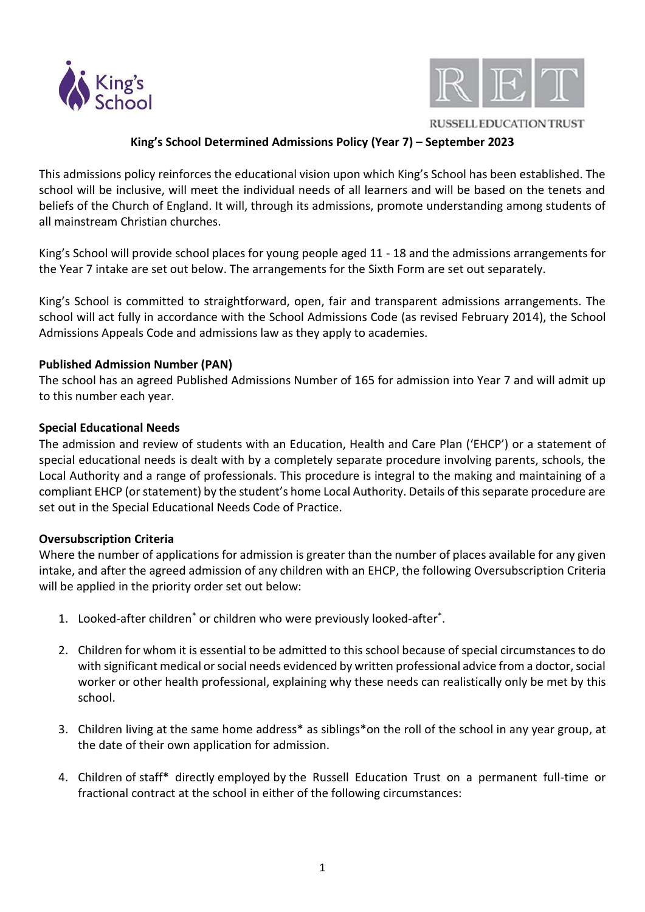



**RUSSELL EDUCATION TRUST** 

# **King's School Determined Admissions Policy (Year 7) – September 2023**

This admissions policy reinforces the educational vision upon which King's School has been established. The school will be inclusive, will meet the individual needs of all learners and will be based on the tenets and beliefs of the Church of England. It will, through its admissions, promote understanding among students of all mainstream Christian churches.

King's School will provide school places for young people aged 11 - 18 and the admissions arrangements for the Year 7 intake are set out below. The arrangements for the Sixth Form are set out separately.

King's School is committed to straightforward, open, fair and transparent admissions arrangements. The school will act fully in accordance with the School Admissions Code (as revised February 2014), the School Admissions Appeals Code and admissions law as they apply to academies.

#### **Published Admission Number (PAN)**

The school has an agreed Published Admissions Number of 165 for admission into Year 7 and will admit up to this number each year.

### **Special Educational Needs**

The admission and review of students with an Education, Health and Care Plan ('EHCP') or a statement of special educational needs is dealt with by a completely separate procedure involving parents, schools, the Local Authority and a range of professionals. This procedure is integral to the making and maintaining of a compliant EHCP (or statement) by the student's home Local Authority. Details of this separate procedure are set out in the Special Educational Needs Code of Practice.

#### **Oversubscription Criteria**

Where the number of applications for admission is greater than the number of places available for any given intake, and after the agreed admission of any children with an EHCP, the following Oversubscription Criteria will be applied in the priority order set out below:

- 1. Looked-after children<sup>\*</sup> or children who were previously looked-after<sup>\*</sup>.
- 2. Children for whom it is essential to be admitted to this school because of special circumstances to do with significant medical or social needs evidenced by written professional advice from a doctor, social worker or other health professional, explaining why these needs can realistically only be met by this school.
- 3. Children living at the same home address\* as siblings\*on the roll of the school in any year group, at the date of their own application for admission.
- 4. Children of staff\* directly employed by the Russell Education Trust on a permanent full-time or fractional contract at the school in either of the following circumstances: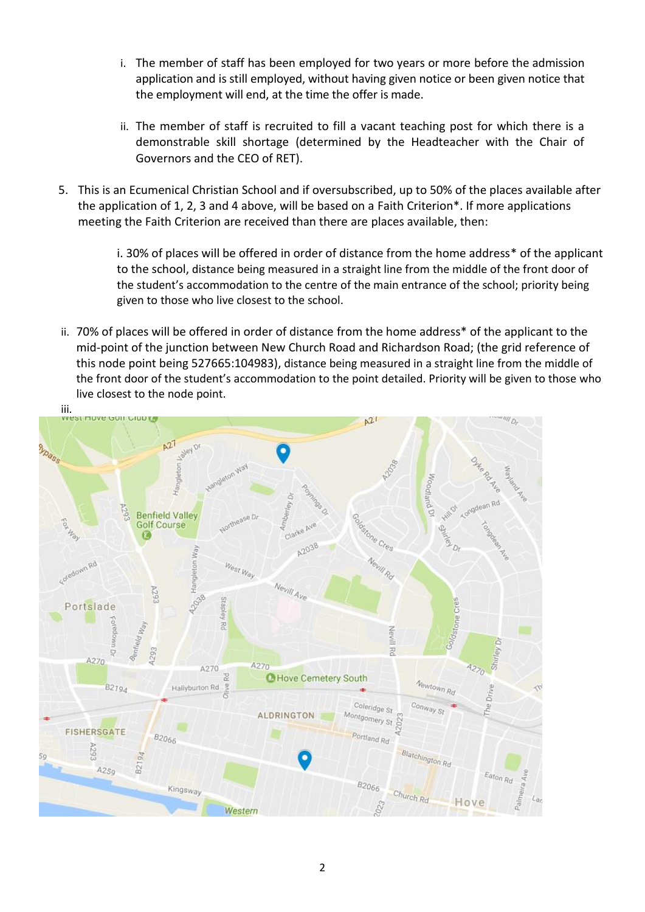- i. The member of staff has been employed for two years or more before the admission application and is still employed, without having given notice or been given notice that the employment will end, at the time the offer is made.
- ii. The member of staff is recruited to fill a vacant teaching post for which there is a demonstrable skill shortage (determined by the Headteacher with the Chair of Governors and the CEO of RET).
- 5. This is an Ecumenical Christian School and if oversubscribed, up to 50% of the places available after the application of 1, 2, 3 and 4 above, will be based on a Faith Criterion\*. If more applications meeting the Faith Criterion are received than there are places available, then:

i. 30% of places will be offered in order of distance from the home address\* of the applicant to the school, distance being measured in a straight line from the middle of the front door of the student's accommodation to the centre of the main entrance of the school; priority being given to those who live closest to the school.

ii. 70% of places will be offered in order of distance from the home address\* of the applicant to the mid-point of the junction between New Church Road and Richardson Road; (the grid reference of this node point being 527665:104983), distance being measured in a straight line from the middle of the front door of the student's accommodation to the point detailed. Priority will be given to those who live closest to the node point.

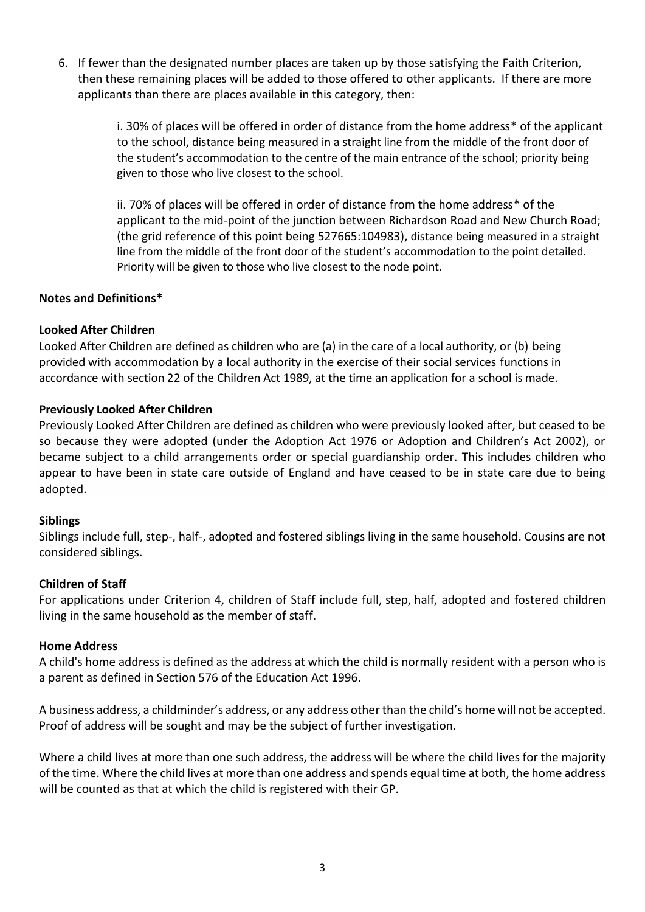6. If fewer than the designated number places are taken up by those satisfying the Faith Criterion, then these remaining places will be added to those offered to other applicants. If there are more applicants than there are places available in this category, then:

> i. 30% of places will be offered in order of distance from the home address\* of the applicant to the school, distance being measured in a straight line from the middle of the front door of the student's accommodation to the centre of the main entrance of the school; priority being given to those who live closest to the school.

> ii. 70% of places will be offered in order of distance from the home address\* of the applicant to the mid-point of the junction between Richardson Road and New Church Road; (the grid reference of this point being 527665:104983), distance being measured in a straight line from the middle of the front door of the student's accommodation to the point detailed. Priority will be given to those who live closest to the node point.

### **Notes and Definitions\***

#### **Looked After Children**

Looked After Children are defined as children who are (a) in the care of a local authority, or (b) being provided with accommodation by a local authority in the exercise of their social services functions in accordance with section 22 of the Children Act 1989, at the time an application for a school is made.

### **Previously Looked After Children**

Previously Looked After Children are defined as children who were previously looked after, but ceased to be so because they were adopted (under the Adoption Act 1976 or Adoption and Children's Act 2002), or became subject to a child arrangements order or special guardianship order. This includes children who appear to have been in state care outside of England and have ceased to be in state care due to being adopted.

#### **Siblings**

Siblings include full, step-, half-, adopted and fostered siblings living in the same household. Cousins are not considered siblings.

#### **Children of Staff**

For applications under Criterion 4, children of Staff include full, step, half, adopted and fostered children living in the same household as the member of staff.

#### **Home Address**

A child's home address is defined as the address at which the child is normally resident with a person who is a parent as defined in Section 576 of the Education Act 1996.

A business address, a childminder's address, or any address other than the child's home will not be accepted. Proof of address will be sought and may be the subject of further investigation.

Where a child lives at more than one such address, the address will be where the child lives for the majority of the time. Where the child lives at more than one address and spends equal time at both, the home address will be counted as that at which the child is registered with their GP.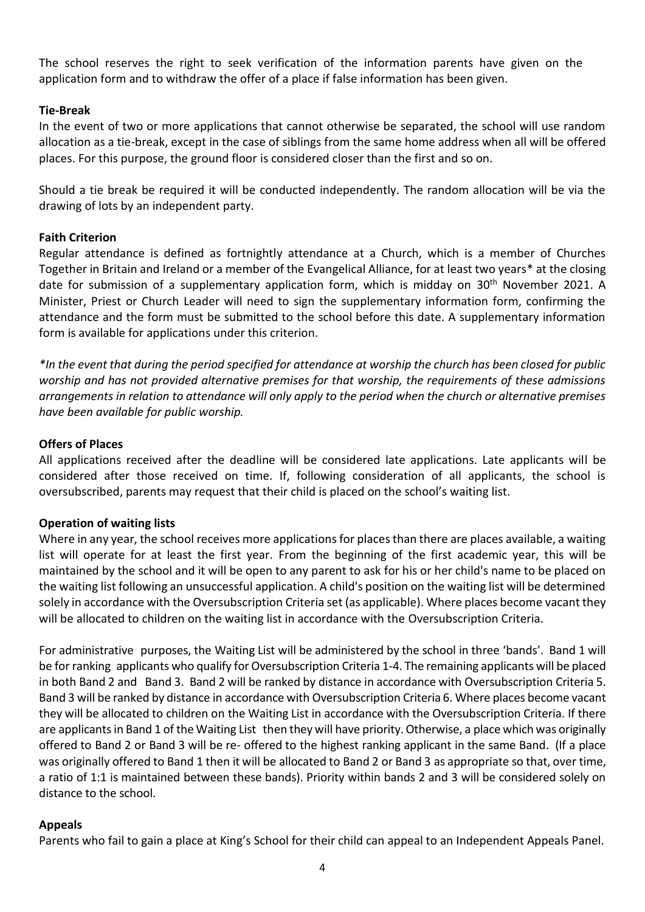The school reserves the right to seek verification of the information parents have given on the application form and to withdraw the offer of a place if false information has been given.

### **Tie-Break**

In the event of two or more applications that cannot otherwise be separated, the school will use random allocation as a tie-break, except in the case of siblings from the same home address when all will be offered places. For this purpose, the ground floor is considered closer than the first and so on.

Should a tie break be required it will be conducted independently. The random allocation will be via the drawing of lots by an independent party.

#### **Faith Criterion**

Regular attendance is defined as fortnightly attendance at a Church, which is a member of Churches Together in Britain and Ireland or a member of the Evangelical Alliance, for at least two years\* at the closing date for submission of a supplementary application form, which is midday on  $30<sup>th</sup>$  November 2021. A Minister, Priest or Church Leader will need to sign the supplementary information form, confirming the attendance and the form must be submitted to the school before this date. A supplementary information form is available for applications under this criterion.

*\*In the event that during the period specified for attendance at worship the church has been closed for public worship and has not provided alternative premises for that worship, the requirements of these admissions arrangements in relation to attendance will only apply to the period when the church or alternative premises have been available for public worship.* 

### **Offers of Places**

All applications received after the deadline will be considered late applications. Late applicants will be considered after those received on time. If, following consideration of all applicants, the school is oversubscribed, parents may request that their child is placed on the school's waiting list.

#### **Operation of waiting lists**

Where in any year, the school receives more applications for places than there are places available, a waiting list will operate for at least the first year. From the beginning of the first academic year, this will be maintained by the school and it will be open to any parent to ask for his or her child's name to be placed on the waiting list following an unsuccessful application. A child's position on the waiting list will be determined solely in accordance with the Oversubscription Criteria set (as applicable). Where places become vacant they will be allocated to children on the waiting list in accordance with the Oversubscription Criteria.

For administrative purposes, the Waiting List will be administered by the school in three 'bands'. Band 1 will be for ranking applicants who qualify for Oversubscription Criteria 1-4. The remaining applicants will be placed in both Band 2 and Band 3. Band 2 will be ranked by distance in accordance with Oversubscription Criteria 5. Band 3 will be ranked by distance in accordance with Oversubscription Criteria 6. Where places become vacant they will be allocated to children on the Waiting List in accordance with the Oversubscription Criteria. If there are applicants in Band 1 of the Waiting List then they will have priority. Otherwise, a place which was originally offered to Band 2 or Band 3 will be re- offered to the highest ranking applicant in the same Band. (If a place was originally offered to Band 1 then it will be allocated to Band 2 or Band 3 as appropriate so that, over time, a ratio of 1:1 is maintained between these bands). Priority within bands 2 and 3 will be considered solely on distance to the school.

#### **Appeals**

Parents who fail to gain a place at King's School for their child can appeal to an Independent Appeals Panel.